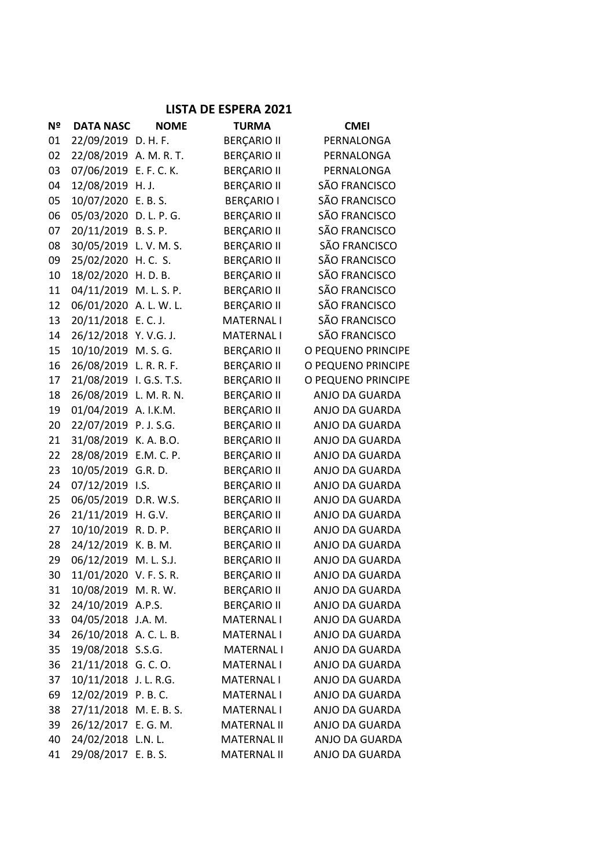## **LISTA DE ESPERA 2021**

| Nº | <b>DATA NASC</b>       | <b>NOME</b> | <b>TURMA</b>       | <b>CMEI</b>        |
|----|------------------------|-------------|--------------------|--------------------|
| 01 | 22/09/2019 D. H. F.    |             | <b>BERÇARIO II</b> | PERNALONGA         |
| 02 | 22/08/2019 A. M. R. T. |             | <b>BERÇARIO II</b> | PERNALONGA         |
| 03 | 07/06/2019 E. F. C. K. |             | <b>BERÇARIO II</b> | PERNALONGA         |
| 04 | 12/08/2019 H.J.        |             | <b>BERÇARIO II</b> | SÃO FRANCISCO      |
| 05 | 10/07/2020 E.B.S.      |             | <b>BERÇARIO I</b>  | SÃO FRANCISCO      |
| 06 | 05/03/2020 D. L. P. G. |             | <b>BERÇARIO II</b> | SÃO FRANCISCO      |
| 07 | 20/11/2019 B.S.P.      |             | <b>BERÇARIO II</b> | SÃO FRANCISCO      |
| 08 | 30/05/2019 L.V.M.S.    |             | <b>BERÇARIO II</b> | SÃO FRANCISCO      |
| 09 | 25/02/2020 H.C. S.     |             | <b>BERÇARIO II</b> | SÃO FRANCISCO      |
| 10 | 18/02/2020 H.D.B.      |             | <b>BERÇARIO II</b> | SÃO FRANCISCO      |
| 11 | 04/11/2019 M. L. S. P. |             | <b>BERÇARIO II</b> | SÃO FRANCISCO      |
| 12 | 06/01/2020 A. L. W. L. |             | <b>BERÇARIO II</b> | SÃO FRANCISCO      |
| 13 | 20/11/2018 E.C.J.      |             | <b>MATERNAL I</b>  | SÃO FRANCISCO      |
| 14 | 26/12/2018 Y.V.G.J.    |             | <b>MATERNAL I</b>  | SÃO FRANCISCO      |
| 15 | 10/10/2019 M.S.G.      |             | <b>BERÇARIO II</b> | O PEQUENO PRINCIPE |
| 16 | 26/08/2019 L. R. R. F. |             | <b>BERÇARIO II</b> | O PEQUENO PRINCIPE |
| 17 | 21/08/2019 I.G.S. T.S. |             | <b>BERÇARIO II</b> | O PEQUENO PRINCIPE |
| 18 | 26/08/2019 L. M. R. N. |             | <b>BERÇARIO II</b> | ANJO DA GUARDA     |
| 19 | 01/04/2019 A. I.K.M.   |             | <b>BERÇARIO II</b> | ANJO DA GUARDA     |
| 20 | 22/07/2019 P.J.S.G.    |             | <b>BERÇARIO II</b> | ANJO DA GUARDA     |
| 21 | 31/08/2019 K.A.B.O.    |             | <b>BERÇARIO II</b> | ANJO DA GUARDA     |
| 22 | 28/08/2019             | E.M. C. P.  | <b>BERÇARIO II</b> | ANJO DA GUARDA     |
| 23 | 10/05/2019             | G.R.D.      | <b>BERÇARIO II</b> | ANJO DA GUARDA     |
| 24 | 07/12/2019 I.S.        |             | <b>BERÇARIO II</b> | ANJO DA GUARDA     |
| 25 | 06/05/2019             | D.R. W.S.   | <b>BERÇARIO II</b> | ANJO DA GUARDA     |
| 26 | 21/11/2019 H.G.V.      |             | <b>BERÇARIO II</b> | ANJO DA GUARDA     |
| 27 | 10/10/2019             | R. D. P.    | <b>BERÇARIO II</b> | ANJO DA GUARDA     |
| 28 | 24/12/2019 K.B.M.      |             | <b>BERÇARIO II</b> | ANJO DA GUARDA     |
| 29 | 06/12/2019             | M. L. S.J.  | <b>BERÇARIO II</b> | ANJO DA GUARDA     |
| 30 | 11/01/2020 V. F. S. R. |             | <b>BERÇARIO II</b> | ANJO DA GUARDA     |
| 31 | 10/08/2019 M.R.W.      |             | <b>BERÇARIO II</b> | ANJO DA GUARDA     |
| 32 | 24/10/2019 A.P.S.      |             | <b>BERÇARIO II</b> | ANJO DA GUARDA     |
| 33 | 04/05/2018 J.A. M.     |             | <b>MATERNAL I</b>  | ANJO DA GUARDA     |
| 34 | 26/10/2018 A.C.L.B.    |             | <b>MATERNAL I</b>  | ANJO DA GUARDA     |
| 35 | 19/08/2018 S.S.G.      |             | <b>MATERNAL I</b>  | ANJO DA GUARDA     |
| 36 | 21/11/2018 G.C.O.      |             | <b>MATERNAL I</b>  | ANJO DA GUARDA     |
| 37 | 10/11/2018 J.L.R.G.    |             | <b>MATERNAL I</b>  | ANJO DA GUARDA     |
| 69 | 12/02/2019 P.B.C.      |             | <b>MATERNAL I</b>  | ANJO DA GUARDA     |
| 38 | 27/11/2018 M. E. B. S. |             | <b>MATERNAL I</b>  | ANJO DA GUARDA     |
| 39 | 26/12/2017 E.G.M.      |             | <b>MATERNAL II</b> | ANJO DA GUARDA     |
| 40 | 24/02/2018 L.N. L.     |             | <b>MATERNAL II</b> | ANJO DA GUARDA     |
| 41 | 29/08/2017 E.B.S.      |             | <b>MATERNAL II</b> | ANJO DA GUARDA     |